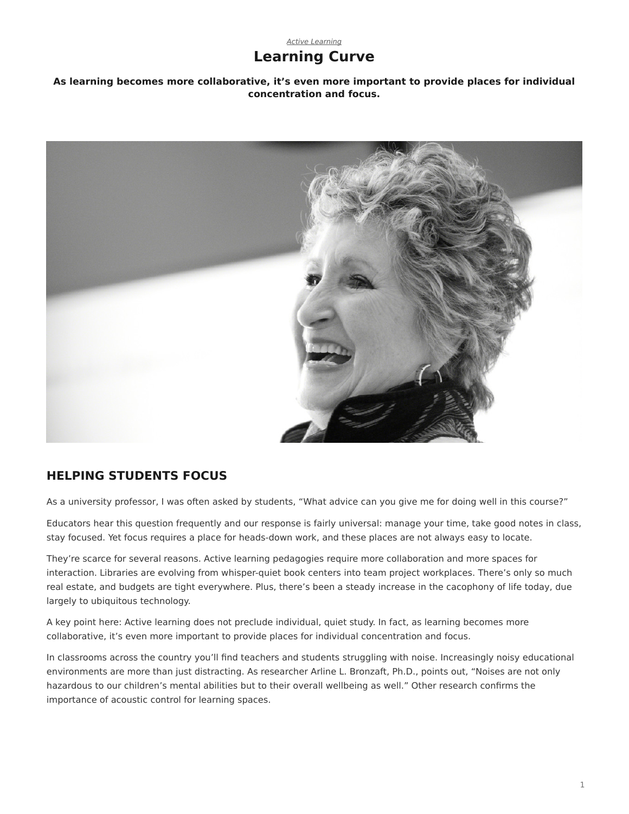# **Learning Curve**

**As learning becomes more collaborative, it's even more important to provide places for individual concentration and focus.**



## **HELPING STUDENTS FOCUS**

As a university professor, I was often asked by students, "What advice can you give me for doing well in this course?"

Educators hear this question frequently and our response is fairly universal: manage your time, take good notes in class, stay focused. Yet focus requires a place for heads-down work, and these places are not always easy to locate.

They're scarce for several reasons. Active learning pedagogies require more collaboration and more spaces for interaction. Libraries are evolving from whisper-quiet book centers into team project workplaces. There's only so much real estate, and budgets are tight everywhere. Plus, there's been a steady increase in the cacophony of life today, due largely to ubiquitous technology.

A key point here: Active learning does not preclude individual, quiet study. In fact, as learning becomes more collaborative, it's even more important to provide places for individual concentration and focus.

In classrooms across the country you'll find teachers and students struggling with noise. Increasingly noisy educational environments are more than just distracting. As researcher Arline L. Bronzaft, Ph.D., points out, "Noises are not only hazardous to our children's mental abilities but to their overall wellbeing as well." Other research confirms the importance of acoustic control for learning spaces.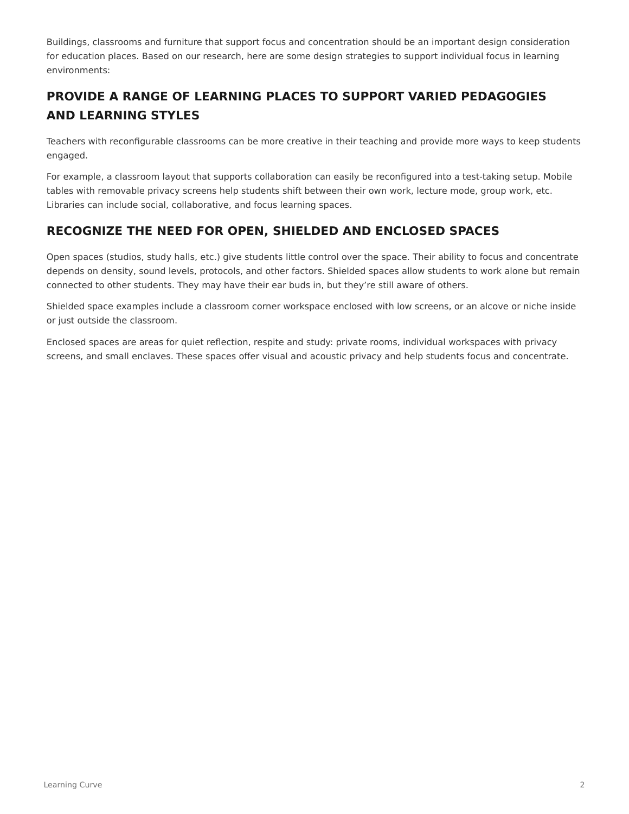Buildings, classrooms and furniture that support focus and concentration should be an important design consideration for education places. Based on our research, here are some design strategies to support individual focus in learning environments:

# **PROVIDE A RANGE OF LEARNING PLACES TO SUPPORT VARIED PEDAGOGIES AND LEARNING STYLES**

Teachers with reconfigurable classrooms can be more creative in their teaching and provide more ways to keep students engaged.

For example, a classroom layout that supports collaboration can easily be reconfigured into a test-taking setup. Mobile tables with removable privacy screens help students shift between their own work, lecture mode, group work, etc. Libraries can include social, collaborative, and focus learning spaces.

## **RECOGNIZE THE NEED FOR OPEN, SHIELDED AND ENCLOSED SPACES**

Open spaces (studios, study halls, etc.) give students little control over the space. Their ability to focus and concentrate depends on density, sound levels, protocols, and other factors. Shielded spaces allow students to work alone but remain connected to other students. They may have their ear buds in, but they're still aware of others.

Shielded space examples include a classroom corner workspace enclosed with low screens, or an alcove or niche inside or just outside the classroom.

Enclosed spaces are areas for quiet reflection, respite and study: private rooms, individual workspaces with privacy screens, and small enclaves. These spaces offer visual and acoustic privacy and help students focus and concentrate.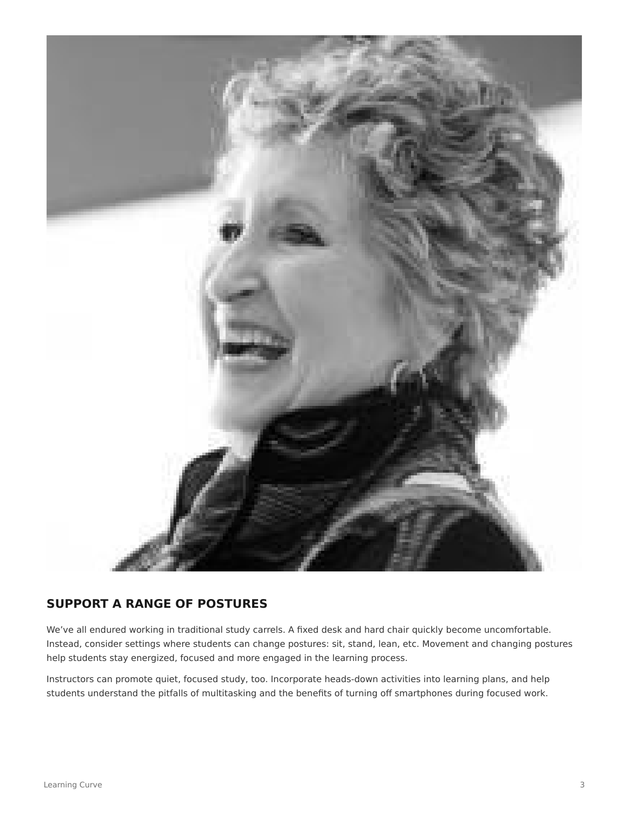

## **SUPPORT A RANGE OF POSTURES**

We've all endured working in traditional study carrels. A fixed desk and hard chair quickly become uncomfortable. Instead, consider settings where students can change postures: sit, stand, lean, etc. Movement and changing postures help students stay energized, focused and more engaged in the learning process.

Instructors can promote quiet, focused study, too. Incorporate heads-down activities into learning plans, and help students understand the pitfalls of multitasking and the benefits of turning off smartphones during focused work.